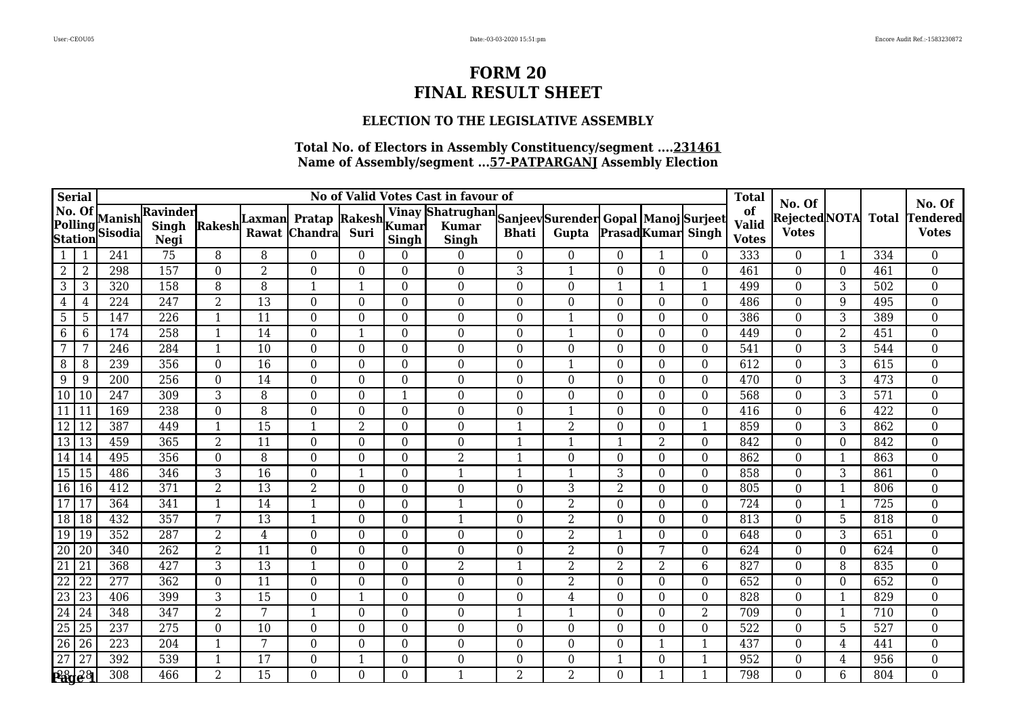### **ELECTION TO THE LEGISLATIVE ASSEMBLY**

| <b>Serial</b>                       |                 |                          |                           |                         |                  |                                 |                  |              | No of Valid Votes Cast in favour of                                   |                  |                  |                  |                          |                  | <b>Total</b>                       |                                               |                |                  |                                           |
|-------------------------------------|-----------------|--------------------------|---------------------------|-------------------------|------------------|---------------------------------|------------------|--------------|-----------------------------------------------------------------------|------------------|------------------|------------------|--------------------------|------------------|------------------------------------|-----------------------------------------------|----------------|------------------|-------------------------------------------|
| No. Of<br>Polling<br><b>Station</b> |                 | Manish<br><b>Sisodia</b> | Ravinder<br>Singh<br>Negi | Rakesh                  | Laxmanl<br>Rawat | Pratap Rakesh<br><b>Chandra</b> | Suri             | <b>Singh</b> | Vinay Shatrughan Sanjeev Surender Gopal Manoj Surjeet<br><b>Singh</b> | <b>Bhati</b>     | Gupta            |                  | <b>PrasadKumar</b> Singh |                  | of<br><b>Valid</b><br><b>Votes</b> | No. Of<br><b>RejectedNOTA</b><br><b>Votes</b> |                | <b>Total</b>     | No. Of<br><b>Tendered</b><br><b>Votes</b> |
| $\mathbf{1}$                        |                 | 241                      | 75                        | 8                       | 8                | $\theta$                        | $\theta$         | $\Omega$     | $\theta$                                                              | $\overline{0}$   | $\overline{0}$   | $\theta$         | 1                        | $\theta$         | 333                                | $\theta$                                      | 1              | 334              | $\Omega$                                  |
| $2\,$                               | $\overline{2}$  | 298                      | 157                       | $\overline{0}$          | $\overline{2}$   | $\overline{0}$                  | $\overline{0}$   | $\Omega$     | $\overline{0}$                                                        | $\overline{3}$   | $\mathbf{1}$     | $\overline{0}$   | $\overline{0}$           | $\overline{0}$   | 461                                | $\overline{0}$                                | $\Omega$       | 461              | $\boldsymbol{0}$                          |
| 3                                   | 3               | 320                      | 158                       | 8                       | 8                | 1                               | 1                | $\Omega$     | $\boldsymbol{0}$                                                      | 0                | $\overline{0}$   |                  |                          | $\mathbf{1}$     | 499                                | $\theta$                                      | 3              | 502              | $\boldsymbol{0}$                          |
| 4                                   | 4               | 224                      | 247                       | $\overline{2}$          | 13               | $\overline{0}$                  | $\overline{0}$   | $\Omega$     | $\mathbf{0}$                                                          | 0                | $\mathbf{0}$     | $\Omega$         | $\overline{0}$           | $\overline{0}$   | 486                                | $\overline{0}$                                | 9              | 495              | $\boldsymbol{0}$                          |
| 5                                   | 5               | 147                      | 226                       | $\mathbf{1}$            | 11               | $\theta$                        | 0                | $\theta$     | $\boldsymbol{0}$                                                      | $\boldsymbol{0}$ | $\mathbf{1}$     | $\Omega$         | $\theta$                 | $\theta$         | 386                                | $\theta$                                      | 3              | 389              | $\boldsymbol{0}$                          |
| 6                                   | 6               | 174                      | 258                       | $\overline{\mathbf{1}}$ | 14               | $\overline{0}$                  | $\mathbf{1}$     | $\theta$     | $\boldsymbol{0}$                                                      | 0                | $\mathbf{1}$     | $\theta$         | $\Omega$                 | $\theta$         | 449                                | $\theta$                                      | $\overline{2}$ | 451              | $\boldsymbol{0}$                          |
| 7                                   | Ξ,              | 246                      | 284                       | $\overline{\mathbf{1}}$ | 10               | $\theta$                        | $\Omega$         | $\Omega$     | $\boldsymbol{0}$                                                      | 0                | $\mathbf{0}$     | 0                | $\Omega$                 | $\Omega$         | 541                                | $\theta$                                      | 3              | 544              | $\boldsymbol{0}$                          |
| 8                                   | 8               | 239                      | 356                       | $\theta$                | 16               | $\theta$                        | $\theta$         | $\Omega$     | $\boldsymbol{0}$                                                      | 0                | $\mathbf{1}$     | 0                | $\Omega$                 | $\theta$         | 612                                | $\theta$                                      | 3              | 615              | $\boldsymbol{0}$                          |
| 9                                   | g               | 200                      | 256                       | $\theta$                | 14               | $\overline{0}$                  | 0                | $\Omega$     | $\overline{0}$                                                        | 0                | $\overline{0}$   | $\Omega$         | $\theta$                 | $\theta$         | 470                                | $\overline{0}$                                | 3              | 473              | $\boldsymbol{0}$                          |
| 10 10                               |                 | 247                      | 309                       | 3                       | 8                | $\Omega$                        | $\Omega$         | -1           | $\overline{0}$                                                        | $\theta$         | $\mathbf{0}$     | $\theta$         | $\Omega$                 | $\Omega$         | 568                                | $\Omega$                                      | 3              | 571              | $\boldsymbol{0}$                          |
| $\overline{11}$                     | $\mathbf{1}$    | 169                      | 238                       | $\overline{0}$          | 8                | $\Omega$                        | $\theta$         | $\Omega$     | $\boldsymbol{0}$                                                      | $\boldsymbol{0}$ | $\mathbf{1}$     | 0                | $\theta$                 | $\theta$         | 416                                | $\theta$                                      | 6              | 422              | $\boldsymbol{0}$                          |
| 12                                  | 12              | 387                      | 449                       | $\overline{\mathbf{1}}$ | 15               | 1                               | 2                | $\theta$     | $\boldsymbol{0}$                                                      | 1                | $\overline{2}$   | 0                | $\theta$                 | 1                | 859                                | $\overline{0}$                                | 3              | 862              | $\boldsymbol{0}$                          |
| $\overline{13}$   13                |                 | 459                      | 365                       | $\overline{2}$          | 11               | $\Omega$                        | $\theta$         | $\Omega$     | $\overline{0}$                                                        | -1               | $\mathbf{1}$     | $\mathbf{1}$     | 2                        | $\Omega$         | 842                                | $\Omega$                                      | $\Omega$       | 842              | $\boldsymbol{0}$                          |
| $14$ 14                             |                 | 495                      | 356                       | $\overline{0}$          | 8                | $\boldsymbol{0}$                | $\boldsymbol{0}$ | $\Omega$     | $\overline{2}$                                                        | $\mathbf{1}$     | $\mathbf{0}$     | $\boldsymbol{0}$ | $\Omega$                 | $\overline{0}$   | 862                                | $\overline{0}$                                | -1             | 863              | $\boldsymbol{0}$                          |
| 15 15                               |                 | 486                      | 346                       | 3                       | 16               | $\boldsymbol{0}$                | $\mathbf{1}$     | $\Omega$     | $\mathbf{1}$                                                          |                  | $\mathbf{1}$     | 3                | $\mathbf{0}$             | $\boldsymbol{0}$ | 858                                | $\boldsymbol{0}$                              | 3              | 861              | $\boldsymbol{0}$                          |
| 16                                  | l 16            | 412                      | 371                       | 2                       | 13               | 2                               | $\Omega$         | $\Omega$     | $\overline{0}$                                                        | 0                | 3                | $\overline{2}$   | $\Omega$                 | $\Omega$         | 805                                | $\theta$                                      |                | 806              | $\boldsymbol{0}$                          |
| $\overline{17}$                     | $\mathbf{1}$    | 364                      | 341                       | $\mathbf{1}$            | $\overline{14}$  | $\mathbf{1}$                    | $\overline{0}$   | $\theta$     | $\mathbf{1}$                                                          | $\overline{0}$   | $\overline{2}$   | $\overline{0}$   | $\theta$                 | $\mathbf{0}$     | 724                                | $\overline{0}$                                |                | $\overline{725}$ | $\overline{0}$                            |
| 18 18                               |                 | 432                      | 357                       | 7                       | 13               | 1                               | $\overline{0}$   | $\theta$     | $\mathbf{1}$                                                          | 0                | $\overline{2}$   | 0                | $\Omega$                 | $\theta$         | 813                                | $\theta$                                      | 5              | 818              | $\boldsymbol{0}$                          |
| $\overline{19}$                     | 19              | 352                      | 287                       | 2                       | 4                | $\theta$                        | $\Omega$         | $\Omega$     | $\overline{0}$                                                        | 0                | $\overline{2}$   |                  | $\Omega$                 | $\Omega$         | 648                                | $\theta$                                      | 3              | 651              | $\boldsymbol{0}$                          |
| $\overline{20}$                     | 20              | 340                      | 262                       | $\overline{2}$          | 11               | $\overline{0}$                  | $\theta$         | $\Omega$     | $\overline{0}$                                                        | $\boldsymbol{0}$ | $\overline{2}$   | $\Omega$         | 7                        | $\theta$         | 624                                | $\Omega$                                      | $\Omega$       | 624              | $\overline{0}$                            |
| $\frac{21}{22}$                     | <sup>21</sup>   | 368                      | 427                       | 3                       | $\overline{13}$  | 1                               | $\overline{0}$   | $\Omega$     | $\overline{2}$                                                        | 1                | $\overline{2}$   | $\overline{2}$   | $\overline{2}$           | $6\phantom{1}$   | 827                                | $\overline{0}$                                | 8              | 835              | $\boldsymbol{0}$                          |
|                                     | $\overline{22}$ | 277                      | 362                       | $\theta$                | 11               | $\overline{0}$                  | $\theta$         | $\Omega$     | $\boldsymbol{0}$                                                      | 0                | $\overline{2}$   | $\Omega$         | $\Omega$                 | $\theta$         | 652                                | $\theta$                                      | $\Omega$       | 652              | $\boldsymbol{0}$                          |
| $\overline{23}$                     | 23              | 406                      | 399                       | 3                       | 15               | $\theta$                        | $\mathbf{1}$     | $\Omega$     | $\boldsymbol{0}$                                                      | 0                | $\overline{4}$   | $\Omega$         | $\theta$                 | $\theta$         | 828                                | $\theta$                                      |                | 829              | $\boldsymbol{0}$                          |
| $\frac{24}{25}$                     | $\overline{24}$ | 348                      | $\overline{347}$          | $\overline{2}$          | 7                | 1                               | 0                | $\theta$     | $\boldsymbol{0}$                                                      | 1                | $\mathbf{1}$     | $\overline{0}$   | $\theta$                 | $\overline{2}$   | 709                                | $\overline{0}$                                |                | 710              | $\boldsymbol{0}$                          |
|                                     | 25              | 237                      | 275                       | $\overline{0}$          | 10               | $\theta$                        | $\overline{0}$   | $\Omega$     | $\boldsymbol{0}$                                                      | $\boldsymbol{0}$ | $\boldsymbol{0}$ | $\theta$         | $\Omega$                 | $\Omega$         | 522                                | $\overline{0}$                                | 5              | 527              | $\boldsymbol{0}$                          |
| 26                                  | $\overline{26}$ | 223                      | 204                       | -1                      | 7                | $\theta$                        | $\theta$         | $\Omega$     | $\boldsymbol{0}$                                                      | 0                | $\mathbf{0}$     | 0                |                          | -1               | 437                                | $\Omega$                                      | 4              | 441              | $\boldsymbol{0}$                          |
| $\overline{27}$                     | 27              | 392                      | 539                       | $\overline{\mathbf{1}}$ | 17               | 0                               | 1                | $\Omega$     | $\boldsymbol{0}$                                                      | 0                | $\mathbf{0}$     | 1                | $\theta$                 |                  | 952                                | $\Omega$                                      | 4              | 956              | $\boldsymbol{0}$                          |
| <b>Page 8</b>                       |                 | 308                      | 466                       | $\overline{2}$          | 15               | $\overline{0}$                  | $\overline{0}$   | $\Omega$     | $\mathbf{1}$                                                          | $\overline{2}$   | $\overline{2}$   | $\overline{0}$   |                          |                  | 798                                | $\theta$                                      | 6              | 804              | $\overline{0}$                            |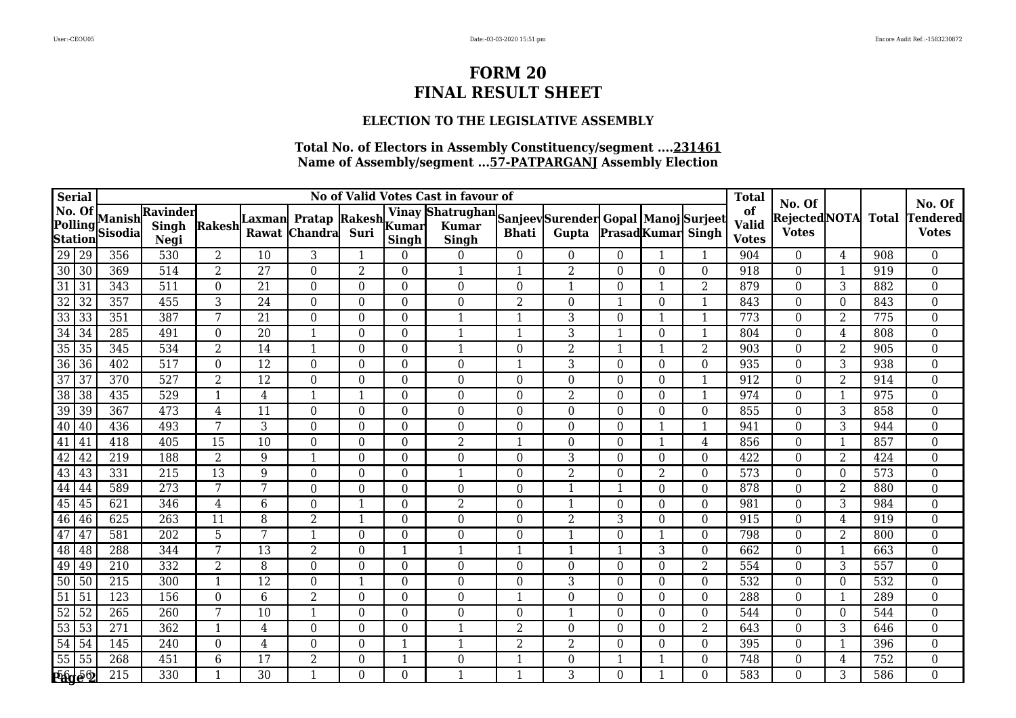### **ELECTION TO THE LEGISLATIVE ASSEMBLY**

| <b>Serial</b>           |                    |                          |                           |                         |                 |                                              |                  |             | No of Valid Votes Cast in favour of                                   |                  |                  |                  |                          |                  | <b>Total</b>                       |                                               |                |              |                                           |
|-------------------------|--------------------|--------------------------|---------------------------|-------------------------|-----------------|----------------------------------------------|------------------|-------------|-----------------------------------------------------------------------|------------------|------------------|------------------|--------------------------|------------------|------------------------------------|-----------------------------------------------|----------------|--------------|-------------------------------------------|
| No. Of                  | Polling<br>Station | Manish<br><b>Sisodia</b> | Ravinder<br>Singh<br>Negi | Rakesh                  | Rawat           | Laxman Pratap Rakesh Yumar<br><b>Chandra</b> | Suri             | Singh       | Vinay Shatrughan Sanjeev Surender Gopal Manoj Surjeet<br><b>Singh</b> | <b>Bhati</b>     | Gupta            |                  | <b>PrasadKumar</b> Singh |                  | of<br><b>Valid</b><br><b>Votes</b> | No. Of<br><b>RejectedNOTA</b><br><b>Votes</b> |                | <b>Total</b> | No. Of<br><b>Tendered</b><br><b>Votes</b> |
|                         |                    | 356                      | 530                       | $\overline{2}$          | 10              | 3                                            | $\mathbf{1}$     | $\Omega$    | $\overline{0}$                                                        | $\boldsymbol{0}$ | $\overline{0}$   | $\boldsymbol{0}$ | 1                        |                  | 904                                | $\overline{0}$                                | 4              | 908          | $\overline{0}$                            |
| 29 29<br>30 30<br>31 31 |                    | 369                      | 514                       | $\overline{2}$          | 27              | $\overline{0}$                               | 2                | $\theta$    | $\mathbf{1}$                                                          | $\mathbf{1}$     | $\overline{2}$   | $\theta$         | $\theta$                 | $\theta$         | 918                                | $\overline{0}$                                | $\overline{1}$ | 919          | $\boldsymbol{0}$                          |
|                         |                    | 343                      | 511                       | $\overline{0}$          | 21              | $\boldsymbol{0}$                             | $\boldsymbol{0}$ | $\theta$    | $\boldsymbol{0}$                                                      | $\boldsymbol{0}$ | $\mathbf{1}$     | $\theta$         |                          | $\overline{2}$   | 879                                | $\boldsymbol{0}$                              | 3              | 882          | $\boldsymbol{0}$                          |
| $\overline{32}$         | $\overline{32}$    | 357                      | 455                       | 3                       | 24              | $\theta$                                     | $\theta$         | $\theta$    | $\boldsymbol{0}$                                                      | $\overline{2}$   | $\overline{0}$   |                  | $\Omega$                 |                  | 843                                | $\theta$                                      | $\theta$       | 843          | $\boldsymbol{0}$                          |
| $\overline{33}$         | $\overline{33}$    | 351                      | 387                       | 7                       | 21              | $\theta$                                     | $\theta$         | $\theta$    | 1                                                                     |                  | 3                | $\theta$         |                          |                  | 773                                | $\Omega$                                      | 2              | 775          | $\boldsymbol{0}$                          |
| 34                      | 34                 | 285                      | 491                       | $\boldsymbol{0}$        | 20              | 1                                            | 0                | $\theta$    | $\mathbf{1}$                                                          | $\mathbf{1}$     | 3                | 1                | $\boldsymbol{0}$         | $\mathbf{1}$     | 804                                | $\overline{0}$                                | 4              | 808          | $\boldsymbol{0}$                          |
| $\overline{35}$         | 35                 | 345                      | 534                       | $\overline{2}$          | 14              | 1                                            | $\Omega$         | $\Omega$    | $\mathbf{1}$                                                          | 0                | $\overline{2}$   | $\mathbf{1}$     |                          | 2                | 903                                | $\theta$                                      | $\overline{2}$ | 905          | $\overline{0}$                            |
| $\overline{36}$         | $\overline{36}$    | 402                      | 517                       | $\theta$                | 12              | $\theta$                                     | $\theta$         | $\Omega$    | 0                                                                     | 1                | 3                | $\theta$         | $\Omega$                 | $\Omega$         | 935                                | $\Omega$                                      | 3              | 938          | $\boldsymbol{0}$                          |
| $\overline{37}$         | 37                 | 370                      | 527                       | 2                       | 12              | $\overline{0}$                               | 0                | $\theta$    | $\boldsymbol{0}$                                                      | $\boldsymbol{0}$ | $\boldsymbol{0}$ | $\boldsymbol{0}$ | $\theta$                 | 1                | 912                                | $\overline{0}$                                | $\overline{2}$ | 914          | $\boldsymbol{0}$                          |
| $\overline{38}$         | 38                 | 435                      | 529                       | $\mathbf{1}$            | 4               | 1                                            | $\mathbf{1}$     | $\Omega$    | $\mathbf{0}$                                                          | 0                | $\overline{2}$   | $\overline{0}$   | $\Omega$                 |                  | 974                                | $\overline{0}$                                | -1             | 975          | $\boldsymbol{0}$                          |
| 39                      | 39                 | 367                      | 473                       | 4                       | 11              | $\theta$                                     | $\Omega$         | $\Omega$    | $\boldsymbol{0}$                                                      | 0                | $\boldsymbol{0}$ | $\theta$         | $\theta$                 | $\theta$         | 855                                | $\theta$                                      | 3              | 858          | $\boldsymbol{0}$                          |
| $\boxed{40}$            | 40                 | 436                      | 493                       | 7                       | 3               | $\theta$                                     | $\Omega$         | $\theta$    | $\boldsymbol{0}$                                                      | 0                | $\mathbf{0}$     | $\boldsymbol{0}$ |                          |                  | 941                                | $\theta$                                      | 3              | 944          | $\boldsymbol{0}$                          |
| 41                      | 41                 | 418                      | 405                       | 15                      | 10              | $\theta$                                     | $\theta$         | $\theta$    | $\overline{2}$                                                        | 1                | $\overline{0}$   | $\theta$         | $\mathbf{1}$             | 4                | 856                                | $\Omega$                                      | -1             | 857          | $\boldsymbol{0}$                          |
| 42                      | 42                 | 219                      | 188                       | $\overline{2}$          | 9               | $\mathbf{1}$                                 | 0                | $\theta$    | $\boldsymbol{0}$                                                      | $\boldsymbol{0}$ | 3                | $\theta$         | $\Omega$                 | $\theta$         | 422                                | $\overline{0}$                                | $\overline{2}$ | 424          | $\boldsymbol{0}$                          |
| $\overline{43}$         | 43                 | 331                      | 215                       | 13                      | 9               | $\theta$                                     | $\theta$         | $\Omega$    | $\mathbf{1}$                                                          | 0                | $\overline{2}$   | 0                | 2                        | $\theta$         | 573                                | $\theta$                                      | $\theta$       | 573          | $\overline{0}$                            |
| $\overline{44}$         | 44                 | 589                      | 273                       | 7                       | 7               | $\overline{0}$                               | $\Omega$         | $\theta$    | $\overline{0}$                                                        | 0                | $\mathbf{1}$     |                  | $\Omega$                 | $\Omega$         | 878                                | $\theta$                                      | 2              | 880          | $\boldsymbol{0}$                          |
| 45                      | 45                 | 621                      | 346                       | 4                       | 6               | $\boldsymbol{0}$                             | $\mathbf{1}$     | $\theta$    | $\overline{2}$                                                        | $\boldsymbol{0}$ | $\mathbf{1}$     | $\boldsymbol{0}$ | $\theta$                 | $\theta$         | 981                                | $\overline{0}$                                | 3              | 984          | $\boldsymbol{0}$                          |
| 46                      | 46                 | 625                      | 263                       | 11                      | 8               | 2                                            | 1                | $\Omega$    | $\mathbf{0}$                                                          | 0                | $\overline{2}$   | 3                | $\Omega$                 | $\Omega$         | 915                                | $\theta$                                      | 4              | 919          | $\overline{0}$                            |
| $\overline{47}$         | 47                 | 581                      | 202                       | 5                       | 7               | 1                                            | $\theta$         | $\Omega$    | $\boldsymbol{0}$                                                      | 0                | $\mathbf{1}$     | $\Omega$         |                          | $\Omega$         | 798                                | $\theta$                                      | 2              | 800          | $\boldsymbol{0}$                          |
| $\overline{48}$         | 48                 | 288                      | 344                       | 7                       | 13              | $\overline{2}$                               | 0                | 1           | $\mathbf{1}$                                                          | 1                | $\mathbf{1}$     | 1                | 3                        | $\boldsymbol{0}$ | 662                                | $\overline{0}$                                |                | 663          | $\boldsymbol{0}$                          |
| $\frac{49}{50}$         | 49                 | 210                      | 332                       | $\overline{2}$          | 8               | $\overline{0}$                               | $\theta$         | $\theta$    | $\boldsymbol{0}$                                                      | 0                | $\overline{0}$   | $\Omega$         | $\Omega$                 | $\overline{2}$   | 554                                | $\theta$                                      | 3              | 557          | $\overline{0}$                            |
|                         | 50                 | 215                      | 300                       | -1                      | 12              | $\theta$                                     | 1                | $\Omega$    | $\boldsymbol{0}$                                                      | 0                | 3                | $\Omega$         | $\Omega$                 | $\theta$         | 532                                | $\overline{0}$                                | $\Omega$       | 532          | $\boldsymbol{0}$                          |
| $\overline{51}$         | $\overline{51}$    | 123                      | 156                       | $\Omega$                | $6\phantom{.}6$ | 2                                            | $\theta$         | $\theta$    | $\boldsymbol{0}$                                                      | 1                | $\mathbf{0}$     | $\Omega$         | $\theta$                 | $\theta$         | 288                                | $\theta$                                      |                | 289          | $\boldsymbol{0}$                          |
| $\overline{52}$         | $\overline{52}$    | 265                      | 260                       | 7                       | 10              | 1                                            | $\theta$         | $\theta$    | $\boldsymbol{0}$                                                      | $\boldsymbol{0}$ | $\mathbf{1}$     | $\Omega$         | $\theta$                 | $\theta$         | 544                                | $\theta$                                      | $\Omega$       | 544          | $\boldsymbol{0}$                          |
| $\overline{53}$         | 53                 | 271                      | 362                       | $\overline{\mathbf{1}}$ | 4               | $\theta$                                     | $\theta$         | $\Omega$    | $\mathbf{1}$                                                          | $\overline{2}$   | $\boldsymbol{0}$ | $\Omega$         | $\Omega$                 | $\overline{2}$   | 643                                | $\theta$                                      | $\overline{3}$ | 646          | $\boldsymbol{0}$                          |
| $\overline{54}$         | 54                 | 145                      | 240                       | $\theta$                | 4               | $\theta$                                     | $\theta$         | 1           | $\mathbf{1}$                                                          | $\overline{2}$   | $\overline{2}$   | 0                | $\Omega$                 | $\Omega$         | 395                                | $\theta$                                      |                | 396          | $\overline{0}$                            |
| $55 \overline{)55}$     |                    | 268                      | 451                       | 6                       | 17              | $\overline{2}$                               | 0                | $\mathbf 1$ | $\boldsymbol{0}$                                                      |                  | $\mathbf{0}$     |                  |                          | $\theta$         | 748                                | $\boldsymbol{0}$                              | 4              | 752          | $\boldsymbol{0}$                          |
|                         | <b>Figé 2</b>      | 215                      | 330                       |                         | 30              |                                              | $\theta$         | $\Omega$    | $\mathbf{1}$                                                          |                  | 3                | $\Omega$         |                          | $\theta$         | 583                                | $\theta$                                      | 3              | 586          | 0                                         |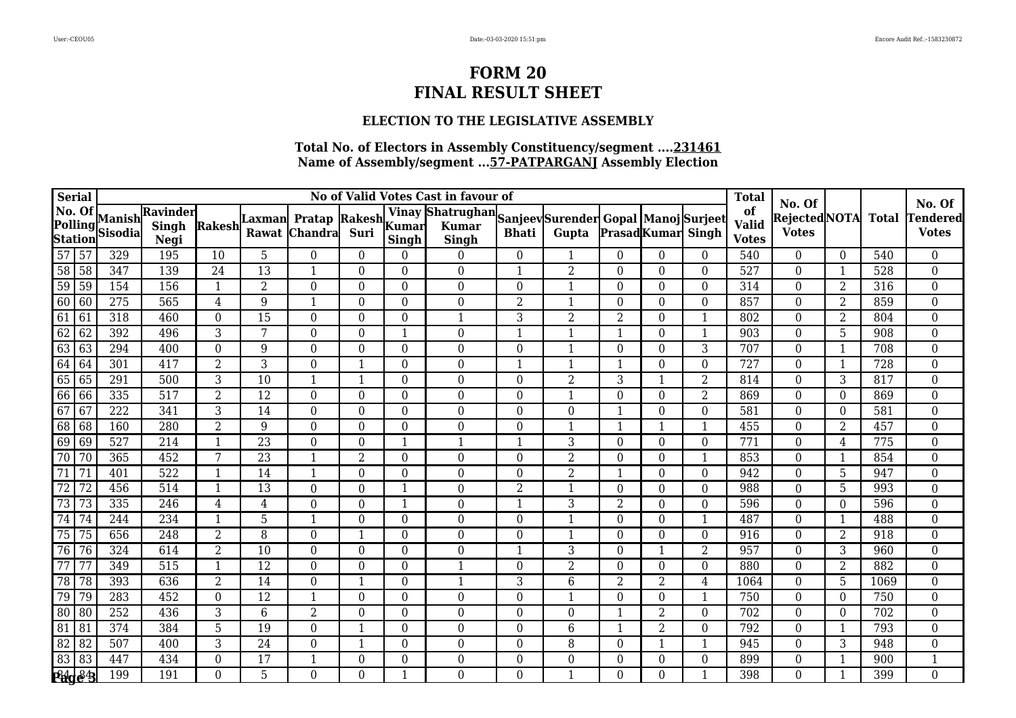### **ELECTION TO THE LEGISLATIVE ASSEMBLY**

| <b>Serial</b>                       |                 |                          |                                  |                |                 |                                      |                  |                          | No of Valid Votes Cast in favour of                                   |                  |                  |                  |                           |                  | <b>Total</b>                       |                                                |                |              |                                           |
|-------------------------------------|-----------------|--------------------------|----------------------------------|----------------|-----------------|--------------------------------------|------------------|--------------------------|-----------------------------------------------------------------------|------------------|------------------|------------------|---------------------------|------------------|------------------------------------|------------------------------------------------|----------------|--------------|-------------------------------------------|
| No. Of<br>Polling<br><b>Station</b> |                 | Manish<br><b>Sisodia</b> | Ravinder<br><b>Singh</b><br>Negi | Rakesh         | ∣Laxman         | Pratap Rakesh Kumar<br>Rawat Chandra | Suri             | <b>Singh</b>             | Vinay Shatrughan Sanjeev Surender Gopal Manoj Surjeet<br><b>Singh</b> | <b>Bhati</b>     | Gupta            |                  | <b>Prasad</b> Kumar Singh |                  | of<br><b>Valid</b><br><b>Votes</b> | No. Of<br><b>Rejected</b> NOTA<br><b>Votes</b> |                | <b>Total</b> | No. Of<br><b>Tendered</b><br><b>Votes</b> |
| $\overline{57}$                     | 57              | 329                      | 195                              | 10             | 5               | $\theta$                             | $\theta$         | 0                        | $\theta$                                                              | $\overline{0}$   | $\mathbf{1}$     | $\theta$         | $\Omega$                  | $\theta$         | 540                                | $\overline{0}$                                 | $\theta$       | 540          | $\boldsymbol{0}$                          |
| $\overline{58}$                     | 58              | 347                      | 139                              | 24             | $\overline{13}$ | $\mathbf{1}$                         | $\overline{0}$   | $\Omega$                 | $\overline{0}$                                                        | $\mathbf{1}$     | $\overline{2}$   | $\overline{0}$   | $\Omega$                  | $\Omega$         | 527                                | $\overline{0}$                                 | $\mathbf{1}$   | 528          | $\boldsymbol{0}$                          |
| $\overline{59}$                     | 59              | 154                      | 156                              | 1              | $\overline{2}$  | $\theta$                             | $\Omega$         | $\Omega$                 | $\overline{0}$                                                        | $\boldsymbol{0}$ | $\mathbf{1}$     | $\theta$         | $\Omega$                  | $\Omega$         | 314                                | $\Omega$                                       | $\overline{2}$ | 316          | $\boldsymbol{0}$                          |
| 60                                  | 60              | $\overline{275}$         | 565                              | $\overline{4}$ | 9               | $\mathbf{1}$                         | $\Omega$         | $\Omega$                 | $\overline{0}$                                                        | $\overline{2}$   | $\mathbf{1}$     | $\overline{0}$   | $\Omega$                  | $\theta$         | 857                                | $\Omega$                                       | $\overline{2}$ | 859          | $\boldsymbol{0}$                          |
| 61                                  | $\overline{61}$ | 318                      | 460                              | $\theta$       | 15              | $\theta$                             | $\theta$         | $\theta$                 | $\mathbf{1}$                                                          | 3                | $\overline{2}$   | $\overline{2}$   | $\Omega$                  | $\mathbf{1}$     | 802                                | $\theta$                                       | $\overline{2}$ | 804          | $\boldsymbol{0}$                          |
| 62                                  | 62              | 392                      | 496                              | 3              | 7               | $\overline{0}$                       | $\Omega$         | $\overline{1}$           | $\mathbf{0}$                                                          | $\mathbf{1}$     | $\mathbf{1}$     | 1                | $\Omega$                  | $\mathbf{1}$     | 903                                | $\Omega$                                       | 5              | 908          | $\boldsymbol{0}$                          |
| 63                                  | 63              | 294                      | 400                              | $\theta$       | 9               | $\Omega$                             | $\Omega$         | $\Omega$                 | $\overline{0}$                                                        | $\boldsymbol{0}$ | $\mathbf{1}$     | $\boldsymbol{0}$ | $\Omega$                  | 3                | 707                                | $\Omega$                                       | $\mathbf{1}$   | 708          | $\boldsymbol{0}$                          |
| 64                                  | 64              | 301                      | 417                              | $\overline{2}$ | 3               | $\theta$                             |                  | $\Omega$                 | $\boldsymbol{0}$                                                      | $\mathbf{1}$     | $\mathbf{1}$     | $\mathbf 1$      | $\Omega$                  | $\theta$         | 727                                | $\theta$                                       | $\mathbf 1$    | 728          | $\boldsymbol{0}$                          |
| 65                                  | 65              | 291                      | 500                              | 3              | 10              | $\mathbf{1}$                         | $\mathbf{1}$     | $\theta$                 | $\boldsymbol{0}$                                                      | $\boldsymbol{0}$ | $\overline{2}$   | 3                |                           | $\overline{2}$   | 814                                | $\Omega$                                       | 3              | 817          | $\boldsymbol{0}$                          |
| 66                                  | 66              | 335                      | 517                              | 2              | 12              | $\theta$                             | $\Omega$         | $\Omega$                 | $\overline{0}$                                                        | $\bf{0}$         | $\mathbf{1}$     | $\overline{0}$   | $\Omega$                  | $\overline{2}$   | 869                                | $\Omega$                                       | $\Omega$       | 869          | $\boldsymbol{0}$                          |
| $\overline{67}$                     | 67              | $\overline{222}$         | $\overline{341}$                 | 3              | 14              | $\overline{0}$                       | $\theta$         | $\Omega$                 | $\mathbf{0}$                                                          | $\mathbf{0}$     | $\mathbf 0$      | 1                | $\Omega$                  | $\theta$         | 581                                | $\Omega$                                       | $\theta$       | 581          | $\boldsymbol{0}$                          |
| 68                                  | 68              | 160                      | 280                              | $\overline{2}$ | 9               | $\Omega$                             | $\boldsymbol{0}$ | $\Omega$                 | $\boldsymbol{0}$                                                      | $\boldsymbol{0}$ | $\mathbf{1}$     | $\mathbf 1$      |                           | $\mathbf{1}$     | 455                                | $\Omega$                                       | $\overline{2}$ | 457          | $\boldsymbol{0}$                          |
| 69                                  | 69              | $\overline{527}$         | 214                              |                | $\overline{23}$ | $\theta$                             | $\Omega$         |                          |                                                                       | $\mathbf{1}$     | $\overline{3}$   | $\overline{0}$   | $\Omega$                  | $\Omega$         | 771                                | $\Omega$                                       | 4              | 775          | $\boldsymbol{0}$                          |
| 70                                  | $\overline{70}$ | 365                      | 452                              | 7              | $\overline{23}$ | $\mathbf{1}$                         | $\overline{2}$   | $\theta$                 | $\mathbf{0}$                                                          | $\boldsymbol{0}$ | $\overline{2}$   | $\boldsymbol{0}$ | $\Omega$                  | 1                | 853                                | $\overline{0}$                                 | $\mathbf{1}$   | 854          | $\boldsymbol{0}$                          |
| $\overline{71}$                     | 71              | 401                      | 522                              |                | 14              | $\mathbf{1}$                         | $\boldsymbol{0}$ | $\theta$                 | $\mathbf{0}$                                                          | $\boldsymbol{0}$ | $\overline{2}$   | 1                | $\Omega$                  | $\boldsymbol{0}$ | 942                                | $\overline{0}$                                 | 5              | 947          | $\boldsymbol{0}$                          |
| 72                                  | $\overline{72}$ | 456                      | 514                              | -1             | 13              | $\theta$                             | $\theta$         | $\overline{\phantom{a}}$ | $\boldsymbol{0}$                                                      | $\overline{2}$   | $\mathbf{1}$     | $\theta$         | $\Omega$                  | $\Omega$         | 988                                | $\Omega$                                       | 5              | 993          | $\boldsymbol{0}$                          |
| $\overline{73}$                     | 73              | 335                      | $\overline{246}$                 | 4              | $\overline{4}$  | $\overline{0}$                       | $\theta$         | $\overline{\phantom{0}}$ | $\overline{0}$                                                        | $\mathbf{1}$     | 3                | $\overline{2}$   | $\Omega$                  | $\theta$         | 596                                | $\overline{0}$                                 | $\theta$       | 596          | $\mathbf{0}$                              |
| 74                                  | 74              | 244                      | 234                              |                | 5               | $\mathbf{1}$                         | $\Omega$         | $\theta$                 | $\mathbf 0$                                                           | $\boldsymbol{0}$ | $\mathbf{1}$     | $\boldsymbol{0}$ | $\Omega$                  | $\mathbf{1}$     | 487                                | $\overline{0}$                                 | $\mathbf{1}$   | 488          | $\boldsymbol{0}$                          |
| $\overline{75}$                     | 75              | 656                      | 248                              | 2              | 8               | $\theta$                             | 1                | $\Omega$                 | $\boldsymbol{0}$                                                      | $\bf{0}$         | $\mathbf{1}$     | $\theta$         | $\Omega$                  | $\theta$         | 916                                | $\Omega$                                       | 2              | 918          | $\boldsymbol{0}$                          |
| $\overline{76}$                     | 76              | 324                      | 614                              | 2              | 10              | $\theta$                             | $\theta$         | $\Omega$                 | $\overline{0}$                                                        | $\mathbf{1}$     | 3                | $\overline{0}$   |                           | $\overline{2}$   | 957                                | $\Omega$                                       | 3              | 960          | $\boldsymbol{0}$                          |
| $\overline{77}$                     | 77              | 349                      | $\overline{515}$                 | $\mathbf{1}$   | $\overline{12}$ | $\overline{0}$                       | $\overline{0}$   | $\Omega$                 | $\mathbf{1}$                                                          | $\boldsymbol{0}$ | $\overline{2}$   | $\overline{0}$   | $\Omega$                  | $\overline{0}$   | 880                                | $\overline{0}$                                 | $\overline{2}$ | 882          | $\boldsymbol{0}$                          |
| $\overline{78}$                     | 78              | 393                      | 636                              | $\overline{2}$ | 14              | $\theta$                             | $\mathbf{1}$     | $\Omega$                 | $\mathbf{1}$                                                          | 3                | $\overline{6}$   | $\overline{2}$   | 2                         | 4                | 1064                               | $\Omega$                                       | 5              | 1069         | $\boldsymbol{0}$                          |
| 79                                  | 79              | 283                      | 452                              | $\theta$       | 12              | $\mathbf{1}$                         | $\Omega$         | $\Omega$                 | $\overline{0}$                                                        | $\boldsymbol{0}$ | $\mathbf{1}$     | $\theta$         | $\Omega$                  | $\mathbf{1}$     | 750                                | $\Omega$                                       | $\Omega$       | 750          | $\boldsymbol{0}$                          |
| $\overline{80}$                     | 80              | 252                      | 436                              | 3              | 6               | $\overline{2}$                       | $\theta$         | $\theta$                 | $\boldsymbol{0}$                                                      | $\boldsymbol{0}$ | $\boldsymbol{0}$ | -1               | $\overline{2}$            | $\overline{0}$   | 702                                | $\overline{0}$                                 | $\Omega$       | 702          | $\boldsymbol{0}$                          |
| 81                                  | 81              | 374                      | 384                              | 5              | 19              | $\overline{0}$                       | $\mathbf{1}$     | $\Omega$                 | $\overline{0}$                                                        | $\boldsymbol{0}$ | $\,6\,$          | $\mathbf{1}$     | 2                         | $\theta$         | 792                                | $\overline{0}$                                 | -1             | 793          | $\boldsymbol{0}$                          |
| $\overline{82}$                     | 82              | 507                      | 400                              | 3              | 24              | $\Omega$                             | $\mathbf 1$      | $\Omega$                 | $\overline{0}$                                                        | $\bf{0}$         | $\, 8$           | $\boldsymbol{0}$ |                           | $\mathbf{1}$     | 945                                | $\Omega$                                       | 3              | 948          | $\boldsymbol{0}$                          |
| 83                                  | 83              | 447                      | 434                              | $\overline{0}$ | 17              | $\mathbf{1}$                         | $\boldsymbol{0}$ | $\Omega$                 | $\boldsymbol{0}$                                                      | $\boldsymbol{0}$ | $\boldsymbol{0}$ | $\boldsymbol{0}$ | $\Omega$                  | $\theta$         | 899                                | $\theta$                                       | -1             | 900          | $\mathbf{1}$                              |
| <b>PHge 3</b>                       |                 | 199                      | 191                              | $\Omega$       | 5               | $\overline{0}$                       | 0                |                          | $\overline{0}$                                                        | $\overline{0}$   | $\mathbf{1}$     | $\overline{0}$   | $\Omega$                  |                  | 398                                | $\theta$                                       |                | 399          | $\overline{0}$                            |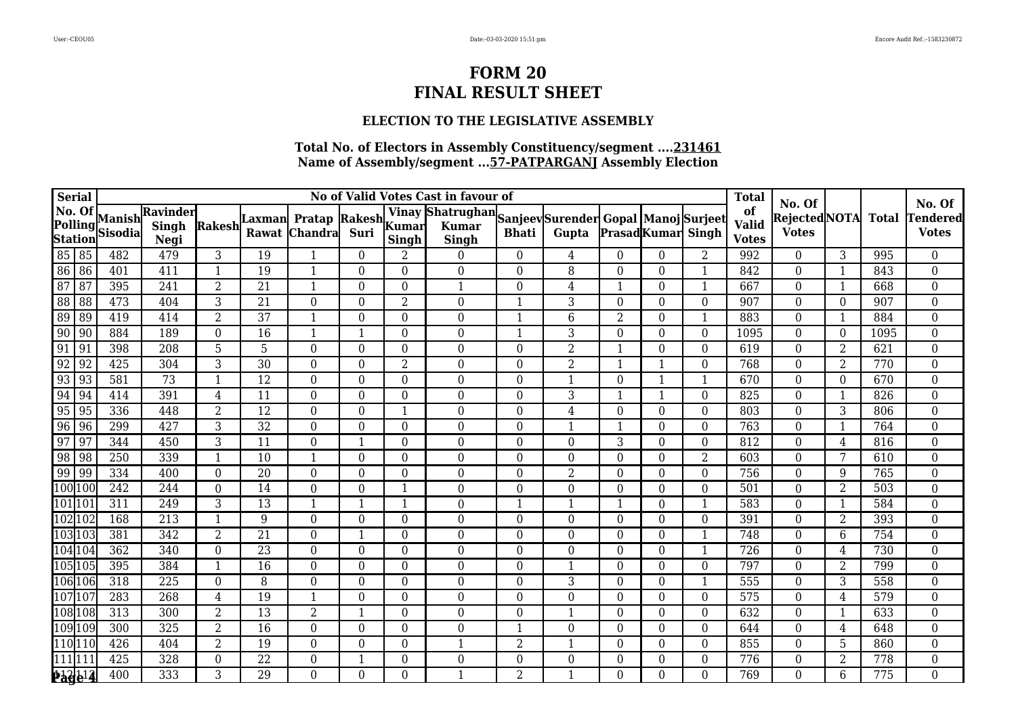### **ELECTION TO THE LEGISLATIVE ASSEMBLY**

|                                                                     | Serial             |                          |                           |                         |                  |                                 |                  |                | No of Valid Votes Cast in favour of                                   |                  |                  |                  |                          |                  | <b>Total</b>                       |                                               |                |              |                                           |
|---------------------------------------------------------------------|--------------------|--------------------------|---------------------------|-------------------------|------------------|---------------------------------|------------------|----------------|-----------------------------------------------------------------------|------------------|------------------|------------------|--------------------------|------------------|------------------------------------|-----------------------------------------------|----------------|--------------|-------------------------------------------|
| No. Of                                                              | Polling<br>Station | Manish<br><b>Sisodia</b> | Ravinder<br>Singh<br>Negi | Rakesh                  | Laxmanl<br>Rawat | Pratap Rakesh<br><b>Chandra</b> | Suri             | <b>Singh</b>   | Vinay Shatrughan Sanjeev Surender Gopal Manoj Surjeet<br><b>Singh</b> | <b>Bhati</b>     | Gupta            |                  | <b>PrasadKumar</b> Singh |                  | of<br><b>Valid</b><br><b>Votes</b> | No. Of<br><b>RejectedNOTA</b><br><b>Votes</b> |                | <b>Total</b> | No. Of<br><b>Tendered</b><br><b>Votes</b> |
|                                                                     |                    | 482                      | 479                       | 3                       | 19               | 1                               | $\theta$         | 2              | $\theta$                                                              | $\boldsymbol{0}$ | 4                | $\theta$         | $\theta$                 | 2                | 992                                | $\theta$                                      | 3              | 995          | $\overline{0}$                            |
| 85 85<br>86 86<br>87 87                                             |                    | 401                      | 411                       | $\mathbf{1}$            | 19               |                                 | $\overline{0}$   | $\overline{0}$ | $\overline{0}$                                                        | $\overline{0}$   | $\overline{8}$   | $\overline{0}$   | $\Omega$                 |                  | 842                                | $\overline{0}$                                | $\overline{1}$ | 843          | $\boldsymbol{0}$                          |
|                                                                     |                    | 395                      | 241                       | 2                       | 21               | 1                               | $\theta$         | $\Omega$       | $\mathbf{1}$                                                          | 0                | $\overline{4}$   |                  | $\Omega$                 | $\mathbf{1}$     | 667                                | $\theta$                                      |                | 668          | $\boldsymbol{0}$                          |
| $\overline{88}$                                                     | 88                 | 473                      | 404                       | 3                       | 21               | $\overline{0}$                  | $\theta$         | $\overline{2}$ | $\boldsymbol{0}$                                                      | 1                | 3                | $\theta$         | $\theta$                 | $\mathbf{0}$     | 907                                | $\overline{0}$                                | $\Omega$       | 907          | $\boldsymbol{0}$                          |
| $\begin{array}{ c c } \hline 89 \\ \hline 90 \\ \hline \end{array}$ | 89                 | 419                      | 414                       | $\overline{2}$          | 37               | 1                               | 0                | $\theta$       | $\boldsymbol{0}$                                                      | 1                | $\,6\,$          | $\overline{2}$   | $\theta$                 | -1               | 883                                | $\theta$                                      |                | 884          | $\boldsymbol{0}$                          |
|                                                                     | 90                 | 884                      | 189                       | $\theta$                | 16               | $\mathbf{1}$                    | $\mathbf{1}$     | $\theta$       | $\boldsymbol{0}$                                                      | $\mathbf{1}$     | 3                | $\theta$         | $\Omega$                 | $\theta$         | 1095                               | $\theta$                                      | $\Omega$       | 1095         | $\boldsymbol{0}$                          |
| $\boxed{91}$                                                        | 91                 | 398                      | 208                       | 5                       | 5                | $\theta$                        | $\Omega$         | $\Omega$       | $\boldsymbol{0}$                                                      | 0                | $\overline{2}$   |                  | $\Omega$                 | $\theta$         | 619                                | $\theta$                                      | $\overline{2}$ | 621          | $\boldsymbol{0}$                          |
| $\overline{92}$                                                     | 92                 | 425                      | 304                       | 3                       | 30               | $\theta$                        | $\theta$         | $\overline{2}$ | $\boldsymbol{0}$                                                      | 0                | $\overline{2}$   |                  | -1                       | $\theta$         | 768                                | $\theta$                                      | $\overline{2}$ | 770          | $\boldsymbol{0}$                          |
| $\overline{93}$                                                     | 93                 | 581                      | 73                        | $\overline{\mathbf{1}}$ | 12               | $\overline{0}$                  | 0                | $\Omega$       | $\boldsymbol{0}$                                                      | 0                | $\mathbf{1}$     | $\theta$         | $\mathbf 1$              | 1                | 670                                | $\overline{0}$                                | $\theta$       | 670          | $\boldsymbol{0}$                          |
| 94                                                                  | $\sqrt{94}$        | 414                      | 391                       | 4                       | 11               | $\Omega$                        | $\Omega$         | $\Omega$       | $\overline{0}$                                                        | $\theta$         | 3                | -1               | $\mathbf 1$              | $\Omega$         | 825                                | $\Omega$                                      | -1             | 826          | $\boldsymbol{0}$                          |
| $\overline{95}$                                                     | 95                 | 336                      | 448                       | $\overline{2}$          | 12               | $\theta$                        | $\theta$         | 1              | $\boldsymbol{0}$                                                      | 0                | $\,4\,$          | 0                | $\theta$                 | $\theta$         | 803                                | $\theta$                                      | 3              | 806          | $\boldsymbol{0}$                          |
| $\overline{96}$                                                     | 96                 | 299                      | 427                       | 3                       | 32               | $\boldsymbol{0}$                | 0                | $\theta$       | $\boldsymbol{0}$                                                      | 0                | $\mathbf{1}$     |                  | $\theta$                 | $\theta$         | 763                                | $\overline{0}$                                |                | 764          | $\boldsymbol{0}$                          |
| 97                                                                  | 97                 | 344                      | 450                       | 3                       | 11               | $\Omega$                        | 1                | $\Omega$       | $\overline{0}$                                                        | $\theta$         | $\mathbf{0}$     | 3                | $\Omega$                 | $\Omega$         | 812                                | $\Omega$                                      | 4              | 816          | $\boldsymbol{0}$                          |
| $\overline{98}$                                                     | 98                 | 250                      | 339                       | $\mathbf{1}$            | 10               | $\mathbf{1}$                    | $\boldsymbol{0}$ | $\Omega$       | $\boldsymbol{0}$                                                      | $\boldsymbol{0}$ | $\mathbf{0}$     | $\boldsymbol{0}$ | $\theta$                 | $\overline{2}$   | 603                                | $\overline{0}$                                | 7              | 610          | $\boldsymbol{0}$                          |
| 99                                                                  | 99                 | 334                      | 400                       | $\boldsymbol{0}$        | 20               | $\boldsymbol{0}$                | $\overline{0}$   | $\Omega$       | $\mathbf{0}$                                                          | $\boldsymbol{0}$ | $\overline{2}$   | $\boldsymbol{0}$ | $\mathbf{0}$             | $\boldsymbol{0}$ | 756                                | $\boldsymbol{0}$                              | 9              | 765          | $\boldsymbol{0}$                          |
| 100 100                                                             |                    | 242                      | 244                       | $\theta$                | 14               | $\theta$                        | $\Omega$         | -1             | $\overline{0}$                                                        | 0                | $\theta$         | $\Omega$         | $\Omega$                 | $\Omega$         | 501                                | $\Omega$                                      | 2              | 503          | $\boldsymbol{0}$                          |
| 101 10                                                              |                    | 311                      | $\overline{249}$          | 3                       | 13               | $\mathbf{1}$                    | $\mathbf{1}$     | $\mathbf{1}$   | $\overline{0}$                                                        | $\mathbf{1}$     | $\mathbf{1}$     | 1                | $\theta$                 | 1                | 583                                | $\overline{0}$                                |                | 584          | $\overline{0}$                            |
|                                                                     | 102102             | 168                      | 213                       | $\overline{\mathbf{1}}$ | 9                | $\theta$                        | $\Omega$         | $\Omega$       | $\boldsymbol{0}$                                                      | $\boldsymbol{0}$ | $\boldsymbol{0}$ | $\boldsymbol{0}$ | $\Omega$                 | $\theta$         | 391                                | $\theta$                                      | $\overline{2}$ | 393          | $\boldsymbol{0}$                          |
|                                                                     | 103 103            | 381                      | 342                       | 2                       | 21               | $\theta$                        | 1                | $\Omega$       | $\overline{0}$                                                        | 0                | $\overline{0}$   | $\Omega$         | $\Omega$                 |                  | 748                                | $\theta$                                      | 6              | 754          | $\boldsymbol{0}$                          |
| 104104                                                              |                    | 362                      | 340                       | $\Omega$                | 23               | $\overline{0}$                  | $\theta$         | $\Omega$       | $\overline{0}$                                                        | $\boldsymbol{0}$ | $\mathbf{0}$     | $\theta$         | $\Omega$                 | $\mathbf{1}$     | 726                                | $\Omega$                                      | 4              | 730          | $\boldsymbol{0}$                          |
| 105 105                                                             |                    | 395                      | 384                       | $\overline{\mathbf{1}}$ | 16               | $\overline{0}$                  | $\overline{0}$   | $\Omega$       | $\mathbf{0}$                                                          | $\boldsymbol{0}$ | $\mathbf{1}$     | $\overline{0}$   | $\Omega$                 | $\overline{0}$   | 797                                | $\overline{0}$                                | $\overline{2}$ | 799          | $\boldsymbol{0}$                          |
|                                                                     | 106 106            | 318                      | 225                       | $\theta$                | 8                | $\theta$                        | $\theta$         | $\Omega$       | $\overline{0}$                                                        | 0                | 3                | $\theta$         | $\Omega$                 |                  | 555                                | $\theta$                                      | 3              | 558          | $\boldsymbol{0}$                          |
| 107 10                                                              |                    | 283                      | 268                       | 4                       | 19               | 1                               | $\theta$         | $\Omega$       | $\overline{0}$                                                        | 0                | $\overline{0}$   | $\theta$         | $\theta$                 | $\theta$         | 575                                | $\theta$                                      | 4              | 579          | $\boldsymbol{0}$                          |
| 108 108                                                             |                    | 313                      | 300                       | $\overline{2}$          | 13               | $\overline{2}$                  | 1                | $\theta$       | $\boldsymbol{0}$                                                      | $\boldsymbol{0}$ | $\mathbf{1}$     | $\theta$         | $\Omega$                 | $\theta$         | 632                                | $\overline{0}$                                |                | 633          | $\boldsymbol{0}$                          |
|                                                                     | 109109             | 300                      | 325                       | $\overline{2}$          | 16               | $\overline{0}$                  | $\overline{0}$   | $\Omega$       | $\boldsymbol{0}$                                                      | 1                | $\mathbf{0}$     | $\theta$         | $\Omega$                 | $\Omega$         | 644                                | $\overline{0}$                                | 4              | 648          | $\boldsymbol{0}$                          |
|                                                                     | 10 110             | 426                      | 404                       | $\overline{2}$          | 19               | $\theta$                        | $\theta$         | $\Omega$       | $\mathbf{1}$                                                          | $\overline{2}$   | $\mathbf{1}$     | $\theta$         | $\Omega$                 | $\Omega$         | 855                                | $\Omega$                                      | 5              | 860          | $\boldsymbol{0}$                          |
| 111 11:                                                             |                    | 425                      | 328                       | $\theta$                | 22               | $\overline{0}$                  | 1                | $\Omega$       | 0                                                                     | 0                | $\boldsymbol{0}$ | 0                | $\theta$                 | $\theta$         | 776                                | $\theta$                                      | $\overline{2}$ | 778          | $\boldsymbol{0}$                          |
|                                                                     | <b>Bage14</b>      | 400                      | 333                       | 3                       | 29               | $\overline{0}$                  | $\theta$         | $\Omega$       | $\mathbf{1}$                                                          | $\overline{2}$   | $\mathbf{1}$     | $\Omega$         | 0                        | $\Omega$         | 769                                | $\theta$                                      | 6              | 775          | $\overline{0}$                            |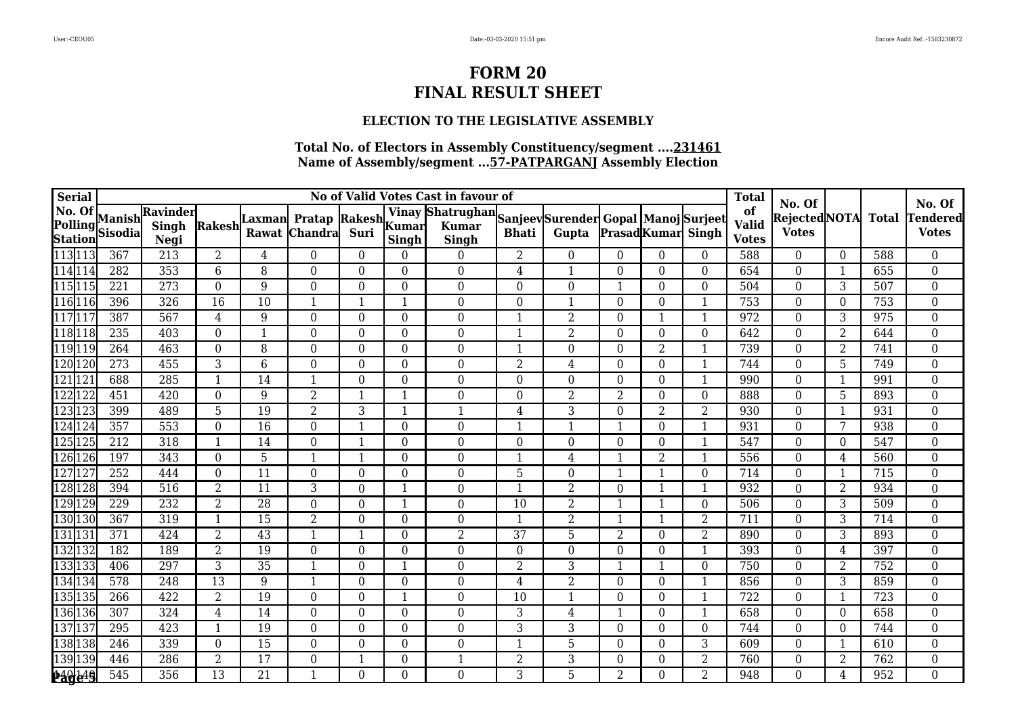### **ELECTION TO THE LEGISLATIVE ASSEMBLY**

| Serial  |                           |                          |                           |                         |                  |                                       |                  |              | No of Valid Votes Cast in favour of                                   |                  |                  |                  |                          |                  | <b>Total</b>                       |                                               |                |              |                                           |
|---------|---------------------------|--------------------------|---------------------------|-------------------------|------------------|---------------------------------------|------------------|--------------|-----------------------------------------------------------------------|------------------|------------------|------------------|--------------------------|------------------|------------------------------------|-----------------------------------------------|----------------|--------------|-------------------------------------------|
| No. Of  | Polling<br><b>Station</b> | Manish<br><b>Sisodia</b> | Ravinder<br>Singh<br>Negi | Rakesh                  | Laxmanl<br>Rawat | Pratap Rakesh Kumar<br><b>Chandra</b> | Suri             | Singh        | Vinay Shatrughan Sanjeev Surender Gopal Manoj Surjeet<br><b>Singh</b> | <b>Bhati</b>     | Gupta            |                  | <b>PrasadKumar</b> Singh |                  | of<br><b>Valid</b><br><b>Votes</b> | No. Of<br><b>RejectedNOTA</b><br><b>Votes</b> |                | <b>Total</b> | No. Of<br><b>Tendered</b><br><b>Votes</b> |
| 113 113 |                           | 367                      | $\overline{213}$          | $\overline{2}$          | 4                | $\theta$                              | $\overline{0}$   | $\Omega$     | $\overline{0}$                                                        | $\overline{2}$   | $\overline{0}$   | $\boldsymbol{0}$ | $\Omega$                 | $\theta$         | 588                                | $\overline{0}$                                | $\overline{0}$ | 588          | $\overline{0}$                            |
|         | 114 114<br>115 115        | 282                      | 353                       | 6                       | 8                | $\overline{0}$                        | $\Omega$         | $\theta$     | $\mathbf{0}$                                                          | 4                | $\mathbf{1}$     | $\overline{0}$   | $\Omega$                 | $\theta$         | 654                                | $\overline{0}$                                | $\overline{1}$ | 655          | $\boldsymbol{0}$                          |
|         |                           | 221                      | 273                       | $\overline{0}$          | 9                | $\overline{0}$                        | $\overline{0}$   | $\theta$     | $\boldsymbol{0}$                                                      | $\boldsymbol{0}$ | $\boldsymbol{0}$ | $\mathbf{1}$     | $\Omega$                 | $\mathbf{0}$     | 504                                | $\overline{0}$                                | 3              | 507          | $\boldsymbol{0}$                          |
| 116 11  |                           | 396                      | 326                       | 16                      | 10               | 1                                     | 1                | -1           | $\boldsymbol{0}$                                                      | 0                | $\mathbf{1}$     | 0                | $\Omega$                 |                  | 753                                | $\theta$                                      | $\Omega$       | 753          | $\boldsymbol{0}$                          |
| 117 11  |                           | 387                      | 567                       | 4                       | 9                | $\theta$                              | $\theta$         | $\theta$     | $\overline{0}$                                                        | 1                | $\overline{2}$   | $\theta$         | -1                       | -1               | 972                                | $\theta$                                      | 3              | 975          | $\boldsymbol{0}$                          |
| 11811   |                           | 235                      | 403                       | $\boldsymbol{0}$        | $\mathbf{1}$     | $\boldsymbol{0}$                      | 0                | $\theta$     | $\boldsymbol{0}$                                                      | $\mathbf{1}$     | $\overline{2}$   | $\boldsymbol{0}$ | $\theta$                 | $\boldsymbol{0}$ | 642                                | $\overline{0}$                                | $\overline{2}$ | 644          | $\boldsymbol{0}$                          |
|         | 119 119                   | 264                      | 463                       | $\Omega$                | 8                | $\theta$                              | $\Omega$         | $\Omega$     | $\boldsymbol{0}$                                                      | $\mathbf{1}$     | $\mathbf{0}$     | $\theta$         | 2                        | $\mathbf{1}$     | 739                                | $\Omega$                                      | 2              | 741          | $\boldsymbol{0}$                          |
| 120 120 |                           | $\overline{273}$         | 455                       | 3                       | 6                | $\theta$                              | $\Omega$         | $\Omega$     | $\overline{0}$                                                        | $\overline{2}$   | $\,4\,$          | $\theta$         | $\Omega$                 |                  | 744                                | $\Omega$                                      | 5              | 749          | 0                                         |
| 121 12  |                           | 688                      | 285                       | -1                      | 14               | 1                                     | 0                | $\theta$     | $\boldsymbol{0}$                                                      | $\boldsymbol{0}$ | $\boldsymbol{0}$ | 0                | $\boldsymbol{0}$         | 1                | 990                                | $\overline{0}$                                |                | 991          | $\boldsymbol{0}$                          |
| 122122  |                           | 451                      | 420                       | $\overline{0}$          | 9                | $\overline{2}$                        | $\mathbf{1}$     | -1           | $\overline{0}$                                                        | $\boldsymbol{0}$ | $\overline{2}$   | $\overline{2}$   | $\Omega$                 | $\overline{0}$   | 888                                | $\Omega$                                      | 5              | 893          | $\boldsymbol{0}$                          |
| 123 123 |                           | 399                      | 489                       | 5                       | 19               | 2                                     | 3                | 1            | $\mathbf{1}$                                                          | $\overline{4}$   | 3                | $\overline{0}$   | $\overline{2}$           | $\overline{2}$   | 930                                | $\theta$                                      |                | 931          | $\boldsymbol{0}$                          |
| 124 124 |                           | 357                      | 553                       | $\overline{0}$          | 16               | $\overline{0}$                        | $\mathbf{1}$     | $\theta$     | $\boldsymbol{0}$                                                      | 1                | $\mathbf{1}$     |                  | $\theta$                 |                  | 931                                | $\overline{0}$                                | 7              | 938          | $\boldsymbol{0}$                          |
| 125 125 |                           | 212                      | 318                       | $\overline{\mathbf{1}}$ | 14               | $\overline{0}$                        | $\mathbf{1}$     | $\Omega$     | $\boldsymbol{0}$                                                      | $\boldsymbol{0}$ | $\mathbf{0}$     | $\theta$         | $\Omega$                 |                  | 547                                | $\theta$                                      | $\Omega$       | 547          | $\boldsymbol{0}$                          |
| 126 126 |                           | 197                      | 343                       | $\overline{0}$          | 5                | $\mathbf{1}$                          | $\mathbf{1}$     | $\Omega$     | $\boldsymbol{0}$                                                      | $\mathbf{1}$     | $\overline{4}$   | $\mathbf{1}$     | $\overline{2}$           | $\mathbf{1}$     | 556                                | $\overline{0}$                                | 4              | 560          | $\boldsymbol{0}$                          |
| 127127  |                           | 252                      | 444                       | $\Omega$                | 11               | $\theta$                              | $\Omega$         | $\Omega$     | $\boldsymbol{0}$                                                      | 5                | $\mathbf{0}$     | $\mathbf{1}$     | $\mathbf{1}$             | $\overline{0}$   | 714                                | $\theta$                                      |                | 715          | $\boldsymbol{0}$                          |
| 128128  |                           | 394                      | 516                       | $\overline{2}$          | 11               | 3                                     | $\theta$         | $\mathbf 1$  | $\boldsymbol{0}$                                                      | $\mathbf{1}$     | $\overline{2}$   | $\Omega$         |                          |                  | 932                                | $\theta$                                      | 2              | 934          | $\boldsymbol{0}$                          |
| 129129  |                           | 229                      | 232                       | $\overline{2}$          | 28               | $\overline{0}$                        | $\boldsymbol{0}$ | $\mathbf{1}$ | $\boldsymbol{0}$                                                      | 10               | $\overline{2}$   | 1                | 1                        | $\mathbf{0}$     | 506                                | $\overline{0}$                                | 3              | 509          | $\boldsymbol{0}$                          |
|         | 130130                    | 367                      | 319                       | $\overline{1}$          | 15               | 2                                     | $\Omega$         | $\Omega$     | $\mathbf{0}$                                                          | 1                | $\overline{2}$   | $\mathbf{1}$     | $\mathbf 1$              | 2                | 711                                | $\theta$                                      | 3              | 714          | $\boldsymbol{0}$                          |
| 131     | $\mathbf{1}3$             | 371                      | 424                       | 2                       | 43               | 1                                     | 1                | $\Omega$     | $\overline{2}$                                                        | 37               | 5                | $\overline{2}$   | $\Omega$                 | $\overline{2}$   | 890                                | $\Omega$                                      | 3              | 893          | $\boldsymbol{0}$                          |
| 132 132 |                           | 182                      | 189                       | 2                       | 19               | $\boldsymbol{0}$                      | $\boldsymbol{0}$ | $\theta$     | $\boldsymbol{0}$                                                      | $\boldsymbol{0}$ | $\mathbf{0}$     | $\boldsymbol{0}$ | $\theta$                 | $\mathbf{1}$     | 393                                | $\overline{0}$                                | 4              | 397          | $\boldsymbol{0}$                          |
| 133133  |                           | 406                      | 297                       | 3                       | $\overline{35}$  | 1                                     | $\theta$         | $\mathbf 1$  | $\overline{0}$                                                        | $\overline{2}$   | 3                | $\mathbf{1}$     | $\mathbf{1}$             | $\overline{0}$   | 750                                | $\overline{0}$                                | 2              | 752          | $\boldsymbol{0}$                          |
|         | 134134                    | 578                      | 248                       | 13                      | 9                | $\mathbf{1}$                          | $\theta$         | $\Omega$     | $\boldsymbol{0}$                                                      | 4                | $\overline{2}$   | $\theta$         | $\Omega$                 |                  | 856                                | $\theta$                                      | 3              | 859          | $\boldsymbol{0}$                          |
| 135 135 |                           | 266                      | 422                       | $\overline{2}$          | 19               | $\overline{0}$                        | $\theta$         | 1            | $\overline{0}$                                                        | 10               | 1                | $\Omega$         | $\theta$                 | $\mathbf{1}$     | 722                                | $\overline{0}$                                |                | 723          | $\boldsymbol{0}$                          |
|         | 136 136                   | 307                      | 324                       | 4                       | 14               | $\overline{0}$                        | $\theta$         | $\theta$     | $\boldsymbol{0}$                                                      | 3                | $\overline{4}$   | 1                | $\theta$                 | $\mathbf{1}$     | 658                                | $\overline{0}$                                | $\Omega$       | 658          | $\boldsymbol{0}$                          |
| 137137  |                           | 295                      | 423                       | -1                      | 19               | $\theta$                              | $\theta$         | $\Omega$     | $\boldsymbol{0}$                                                      | 3                | 3                | $\theta$         | $\Omega$                 | $\Omega$         | 744                                | $\theta$                                      | $\Omega$       | 744          | $\boldsymbol{0}$                          |
|         | 38 138                    | 246                      | 339                       | $\Omega$                | 15               | $\theta$                              | $\theta$         | $\Omega$     | $\boldsymbol{0}$                                                      | 1                | $\overline{5}$   | 0                | $\Omega$                 | 3                | 609                                | $\Omega$                                      |                | 610          | $\boldsymbol{0}$                          |
|         | 139 139                   | 446                      | 286                       | $\overline{2}$          | 17               | $\overline{0}$                        | $\mathbf{1}$     | $\Omega$     | $\mathbf{1}$                                                          | $\overline{2}$   | $\overline{3}$   | $\boldsymbol{0}$ | $\theta$                 | $\overline{2}$   | 760                                | $\theta$                                      | $\overline{2}$ | 762          | $\boldsymbol{0}$                          |
|         | 140149                    | 545                      | 356                       | 13                      | 21               |                                       | $\overline{0}$   | $\Omega$     | $\overline{0}$                                                        | 3                | 5                | $\overline{2}$   | 0                        | $\overline{2}$   | 948                                | $\overline{0}$                                | 4              | 952          | 0                                         |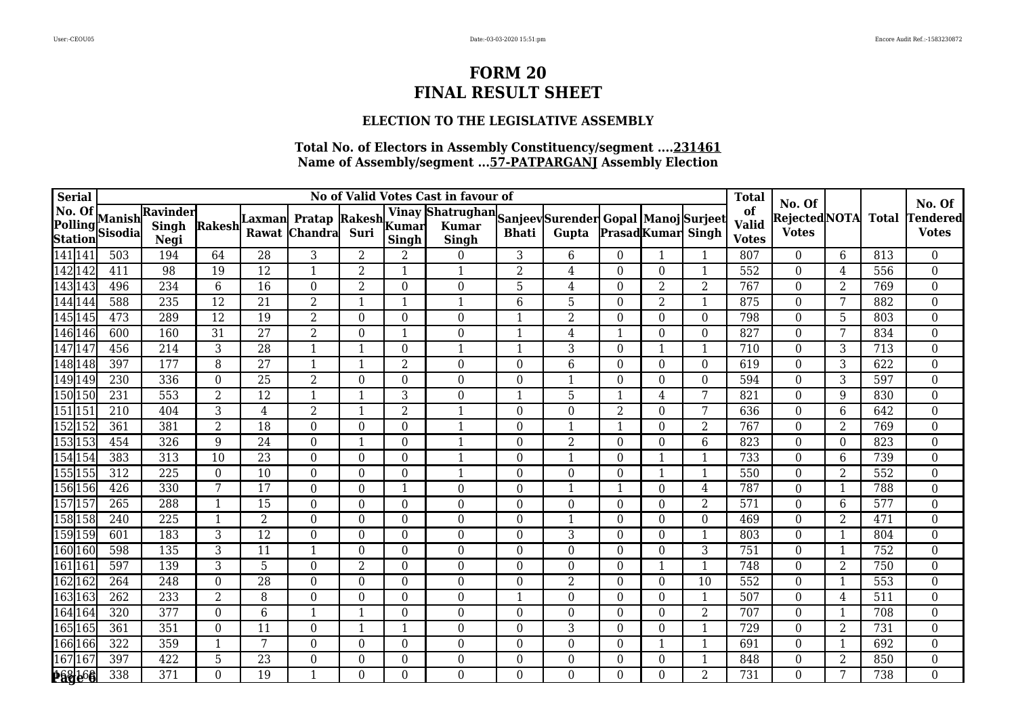### **ELECTION TO THE LEGISLATIVE ASSEMBLY**

| <b>Serial</b>            |              |                          |                                  |                 |                 |                                      |                  |                          | No of Valid Votes Cast in favour of                                   |                  |                  |                  |                          |                | <b>Total</b>                       | No. Of                              |                |              | No. Of                          |
|--------------------------|--------------|--------------------------|----------------------------------|-----------------|-----------------|--------------------------------------|------------------|--------------------------|-----------------------------------------------------------------------|------------------|------------------|------------------|--------------------------|----------------|------------------------------------|-------------------------------------|----------------|--------------|---------------------------------|
| No. Of<br><b>Station</b> | Polling      | Manish<br><b>Sisodia</b> | Ravinder<br><b>Singh</b><br>Negi | Rakesh          | ∣Laxman         | Pratap Rakesh Kumar<br>Rawat Chandra | Suri             | <b>Singh</b>             | Vinay Shatrughan Sanjeev Surender Gopal Manoj Surjeet<br><b>Singh</b> | <b>Bhati</b>     | Gupta            |                  | <b>PrasadKumar</b> Singh |                | of<br><b>Valid</b><br><b>Votes</b> | <b>RejectedNOTA</b><br><b>Votes</b> |                | <b>Total</b> | <b>Tendered</b><br><b>Votes</b> |
| 141 141                  |              | 503                      | 194                              | 64              | 28              | 3                                    | $\overline{2}$   | 2                        | $\theta$                                                              | 3                | $6\phantom{.}6$  | $\theta$         |                          | 1              | 807                                | $\Omega$                            | 6              | 813          | $\overline{0}$                  |
|                          | 142 142      | 411                      | 98                               | 19              | $\overline{12}$ | $\mathbf{1}$                         | $\overline{2}$   | $\overline{\phantom{a}}$ | $\mathbf{1}$                                                          | $\overline{2}$   | 4                | $\theta$         | $\Omega$                 | $\mathbf{1}$   | 552                                | $\overline{0}$                      | 4              | 556          | $\boldsymbol{0}$                |
| 14314                    |              | 496                      | 234                              | $6\phantom{1}6$ | 16              | $\overline{0}$                       | $\overline{2}$   | $\Omega$                 | $\boldsymbol{0}$                                                      | 5                | $\overline{4}$   | $\boldsymbol{0}$ | $\overline{2}$           | $\overline{2}$ | 767                                | $\overline{0}$                      | $\overline{2}$ | 769          | $\boldsymbol{0}$                |
|                          | 144144       | 588                      | 235                              | 12              | 21              | 2                                    | 1                | $\overline{\phantom{a}}$ | $\mathbf 1$                                                           | 6                | $\overline{5}$   | $\boldsymbol{0}$ | $\overline{2}$           | $\mathbf{1}$   | 875                                | $\Omega$                            | 7              | 882          | $\boldsymbol{0}$                |
|                          | 145145       | 473                      | 289                              | 12              | 19              | $\overline{2}$                       | $\theta$         | $\Omega$                 | $\overline{0}$                                                        | $\mathbf{1}$     | $\overline{2}$   | $\theta$         | $\Omega$                 | $\Omega$       | 798                                | $\Omega$                            | 5              | 803          | $\boldsymbol{0}$                |
|                          | 146146       | 600                      | 160                              | 31              | 27              | 2                                    | $\boldsymbol{0}$ | -1                       | $\boldsymbol{0}$                                                      | $\mathbf 1$      | $\overline{4}$   | 1                | $\Omega$                 | $\theta$       | 827                                | $\overline{0}$                      | 7              | 834          | $\boldsymbol{0}$                |
| 14714                    |              | 456                      | 214                              | 3               | 28              | $\mathbf{1}$                         | $\mathbf 1$      | $\Omega$                 |                                                                       | $\mathbf{1}$     | $\overline{3}$   | $\overline{0}$   |                          | -1             | 710                                | $\Omega$                            | 3              | 713          | $\boldsymbol{0}$                |
|                          | 148148       | 397                      | 177                              | 8               | 27              | $\mathbf{1}$                         | $\mathbf{1}$     | 2                        | $\overline{0}$                                                        | $\boldsymbol{0}$ | 6                | $\theta$         | $\Omega$                 | $\theta$       | 619                                | $\Omega$                            | 3              | 622          | $\boldsymbol{0}$                |
|                          | 149149       | 230                      | 336                              | $\theta$        | 25              | 2                                    | $\theta$         | $\Omega$                 | $\overline{0}$                                                        | $\boldsymbol{0}$ | $\mathbf{1}$     | $\boldsymbol{0}$ | $\Omega$                 | $\theta$       | 594                                | $\theta$                            | 3              | 597          | $\boldsymbol{0}$                |
| 150 150                  |              | 231                      | 553                              | 2               | 12              | $\mathbf{1}$                         | $\mathbf 1$      | 3                        | $\overline{0}$                                                        | 1                | 5                | $\mathbf{1}$     | 4                        | 7              | 821                                | $\theta$                            | 9              | 830          | $\boldsymbol{0}$                |
| 151 15                   |              | 210                      | 404                              | 3               | $\overline{4}$  | $\overline{2}$                       | $\mathbf{1}$     | $\overline{2}$           | $\mathbf{1}$                                                          | $\mathbf{0}$     | $\boldsymbol{0}$ | $\overline{2}$   | $\Omega$                 | 7              | 636                                | $\overline{0}$                      | 6              | 642          | $\boldsymbol{0}$                |
|                          | 152152       | 361                      | 381                              | $\overline{2}$  | 18              | $\overline{0}$                       | $\boldsymbol{0}$ | $\theta$                 | $\mathbf{1}$                                                          | $\boldsymbol{0}$ | $\mathbf{1}$     | 1                | $\theta$                 | 2              | 767                                | 0                                   | $\overline{2}$ | 769          | $\boldsymbol{0}$                |
| 153 153                  |              | 454                      | 326                              | 9               | 24              | $\theta$                             | $\mathbf{1}$     | $\Omega$                 | $\mathbf 1$                                                           | $\boldsymbol{0}$ | $\overline{2}$   | $\theta$         | $\Omega$                 | 6              | 823                                | $\Omega$                            | $\Omega$       | 823          | $\boldsymbol{0}$                |
|                          | 154154       | 383                      | 313                              | 10              | 23              | $\overline{0}$                       | $\theta$         | $\theta$                 | $\mathbf{1}$                                                          | $\mathbf{0}$     | $\mathbf{1}$     | $\overline{0}$   |                          | 1              | 733                                | $\Omega$                            | 6              | 739          | $\boldsymbol{0}$                |
|                          | 155155       | 312                      | 225                              | $\theta$        | 10              | $\overline{0}$                       | $\theta$         | $\theta$                 | $\mathbf{1}$                                                          | $\boldsymbol{0}$ | $\boldsymbol{0}$ | $\boldsymbol{0}$ |                          | $\mathbf{1}$   | 550                                | $\overline{0}$                      | $\overline{2}$ | 552          | $\boldsymbol{0}$                |
|                          | 156 156      | 426                      | 330                              | 7               | 17              | $\theta$                             | $\theta$         | $\overline{\phantom{0}}$ | $\boldsymbol{0}$                                                      | $\boldsymbol{0}$ | $\mathbf{1}$     | 1                | $\Omega$                 | 4              | 787                                | $\theta$                            | -1             | 788          | $\boldsymbol{0}$                |
| 15715                    |              | 265                      | 288                              | -1              | 15              | $\theta$                             | $\theta$         | $\Omega$                 | $\theta$                                                              | $\boldsymbol{0}$ | $\boldsymbol{0}$ | $\theta$         | $\Omega$                 | 2              | 571                                | $\Omega$                            | 6              | 577          | $\boldsymbol{0}$                |
|                          | 158 158      | 240                      | $\overline{225}$                 |                 | $\overline{2}$  | $\overline{0}$                       | $\Omega$         | $\Omega$                 | $\overline{0}$                                                        | $\boldsymbol{0}$ | $\mathbf{1}$     | $\overline{0}$   | $\Omega$                 | $\Omega$       | 469                                | $\Omega$                            | $\overline{2}$ | 471          | $\boldsymbol{0}$                |
|                          | 159 159      | 601                      | 183                              | 3               | $\overline{12}$ | $\theta$                             | $\theta$         | $\Omega$                 | $\boldsymbol{0}$                                                      | $\boldsymbol{0}$ | $\sqrt{3}$       | $\boldsymbol{0}$ | 0                        | $\mathbf{1}$   | 803                                | $\theta$                            |                | 804          | $\boldsymbol{0}$                |
|                          | 160160       | 598                      | 135                              | 3               | 11              | $\mathbf{1}$                         | $\boldsymbol{0}$ | $\Omega$                 | $\boldsymbol{0}$                                                      | $\mathbf{0}$     | $\boldsymbol{0}$ | $\boldsymbol{0}$ | $\theta$                 | 3              | 751                                | $\overline{0}$                      | $\mathbf{1}$   | 752          | $\boldsymbol{0}$                |
| 161161                   |              | 597                      | 139                              | 3               | $\overline{5}$  | $\theta$                             | $\overline{2}$   | $\Omega$                 | $\overline{0}$                                                        | $\boldsymbol{0}$ | $\boldsymbol{0}$ | $\theta$         |                          | $\mathbf{1}$   | 748                                | $\theta$                            | $\overline{2}$ | 750          | $\boldsymbol{0}$                |
| 162162                   |              | 264                      | 248                              | $\theta$        | 28              | $\theta$                             | $\theta$         | $\Omega$                 | $\overline{0}$                                                        | $\boldsymbol{0}$ | $\overline{2}$   | $\theta$         | $\Omega$                 | 10             | 552                                | $\Omega$                            | -1             | 553          | $\boldsymbol{0}$                |
| 16316.                   |              | 262                      | 233                              | $\overline{2}$  | 8               | $\mathbf{0}$                         | $\boldsymbol{0}$ | $\Omega$                 | $\boldsymbol{0}$                                                      | $\mathbf{1}$     | $\boldsymbol{0}$ | $\boldsymbol{0}$ | $\theta$                 | $\mathbf{1}$   | 507                                | $\overline{0}$                      | 4              | 511          | $\boldsymbol{0}$                |
|                          | 164164       | 320                      | 377                              | $\theta$        | 6               | $\mathbf{1}$                         | $\mathbf{1}$     | $\theta$                 | $\theta$                                                              | $\boldsymbol{0}$ | $\boldsymbol{0}$ | $\theta$         | $\Omega$                 | 2              | 707                                | $\theta$                            | $\mathbf 1$    | 708          | $\boldsymbol{0}$                |
| 16516                    |              | 361                      | 351                              | $\Omega$        | 11              | $\theta$                             | $\mathbf{1}$     | $\overline{\phantom{a}}$ | $\overline{0}$                                                        | $\boldsymbol{0}$ | $\mathbf{3}$     | $\theta$         | 0                        | 1              | 729                                | $\Omega$                            | $\overline{2}$ | 731          | $\boldsymbol{0}$                |
|                          | 166 166      | 322                      | 359                              | $\mathbf 1$     | 7               | $\Omega$                             | $\Omega$         | $\Omega$                 | $\overline{0}$                                                        | $\boldsymbol{0}$ | $\boldsymbol{0}$ | $\boldsymbol{0}$ |                          | $\mathbf{1}$   | 691                                | $\Omega$                            | 1              | 692          | $\boldsymbol{0}$                |
| 167 167                  |              | 397                      | 422                              | 5               | 23              | $\theta$                             | $\boldsymbol{0}$ | $\Omega$                 | $\boldsymbol{0}$                                                      | $\boldsymbol{0}$ | $\boldsymbol{0}$ | $\boldsymbol{0}$ | $\Omega$                 | $\mathbf{1}$   | 848                                | $\theta$                            | $\overline{2}$ | 850          | $\boldsymbol{0}$                |
|                          | <b>Page6</b> | 338                      | 371                              | $\overline{0}$  | 19              | $\mathbf{1}$                         | 0                | $\Omega$                 | $\overline{0}$                                                        | $\overline{0}$   | $\overline{0}$   | $\theta$         | $\Omega$                 | $\overline{2}$ | 731                                | $\theta$                            | 7              | 738          | 0                               |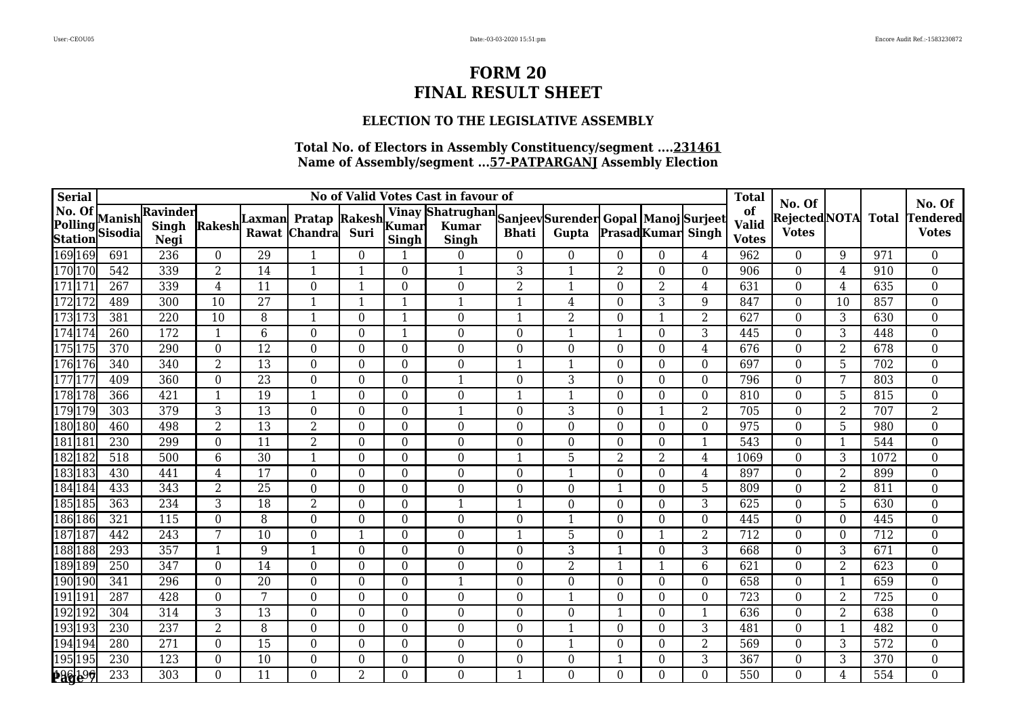### **ELECTION TO THE LEGISLATIVE ASSEMBLY**

| <b>Serial</b>                       |                          |                                  |                |         |                                       |                  |                          | No of Valid Votes Cast in favour of                            |                  |                  |                  |                          |                  | <b>Total</b>                       | No. Of                              |                |              | No. Of                          |
|-------------------------------------|--------------------------|----------------------------------|----------------|---------|---------------------------------------|------------------|--------------------------|----------------------------------------------------------------|------------------|------------------|------------------|--------------------------|------------------|------------------------------------|-------------------------------------|----------------|--------------|---------------------------------|
| No. Of<br>Polling<br><b>Station</b> | Manish<br><b>Sisodia</b> | Ravinder<br><b>Singh</b><br>Negi | Rakesh         | Laxmanl | <b>Pratap Rakesh</b><br>Rawat Chandra | Suri             | Kumar<br>Singh           | Vinay Shatrughan Sanjeev Surender Gopal Manoj Surjeet<br>Singh | <b>Bhati</b>     | Gupta            |                  | <b>PrasadKumar</b> Singh |                  | of<br><b>Valid</b><br><b>Votes</b> | <b>RejectedNOTA</b><br><b>Votes</b> |                | <b>Total</b> | <b>Tendered</b><br><b>Votes</b> |
| 169 169                             | 691                      | 236                              | $\theta$       | 29      | $\mathbf{1}$                          | $\theta$         |                          | $\overline{0}$                                                 | $\overline{0}$   | $\boldsymbol{0}$ | $\boldsymbol{0}$ | 0                        | 4                | 962                                | $\overline{0}$                      | 9              | 971          | $\overline{0}$                  |
| 170 170                             | 542                      | 339                              | $\overline{2}$ | 14      | $\mathbf{1}$                          | $\mathbf{1}$     | $\theta$                 | $\mathbf{1}$                                                   | 3                | $\mathbf{1}$     | $\overline{2}$   | $\Omega$                 | $\theta$         | 906                                | $\theta$                            | 4              | 910          | $\boldsymbol{0}$                |
| 171 171                             | 267                      | 339                              | $\overline{4}$ | 11      | $\boldsymbol{0}$                      | $\mathbf{1}$     | $\Omega$                 | $\overline{0}$                                                 | $\overline{2}$   | $\mathbf{1}$     | $\boldsymbol{0}$ | $\overline{2}$           | $\overline{4}$   | 631                                | $\overline{0}$                      | 4              | 635          | $\boldsymbol{0}$                |
| 172 172                             | 489                      | 300                              | 10             | 27      | 1                                     | $\mathbf 1$      | $\overline{\phantom{a}}$ | $\mathbf{1}$                                                   | $\mathbf 1$      | $\overline{4}$   | $\boldsymbol{0}$ | 3                        | 9                | 847                                | $\Omega$                            | 10             | 857          | $\boldsymbol{0}$                |
| 173173                              | 381                      | $\overline{220}$                 | 10             | 8       | $\mathbf{1}$                          | $\theta$         | $\overline{\phantom{a}}$ | $\overline{0}$                                                 | $\mathbf{1}$     | $\overline{2}$   | $\theta$         |                          | $\overline{2}$   | 627                                | $\theta$                            | 3              | 630          | $\boldsymbol{0}$                |
| 174 174                             | 260                      | 172                              | 1              | 6       | $\overline{0}$                        | $\overline{0}$   | $\mathbf{1}$             | $\boldsymbol{0}$                                               | $\boldsymbol{0}$ | $\mathbf{1}$     | 1                | $\Omega$                 | 3                | 445                                | $\overline{0}$                      | 3              | 448          | $\boldsymbol{0}$                |
| 175175                              | 370                      | 290                              | $\Omega$       | 12      | $\theta$                              | $\theta$         | $\Omega$                 | $\overline{0}$                                                 | $\boldsymbol{0}$ | $\boldsymbol{0}$ | $\boldsymbol{0}$ | $\Omega$                 | 4                | 676                                | $\Omega$                            | $\overline{2}$ | 678          | $\overline{0}$                  |
| 176176                              | 340                      | 340                              | $\overline{2}$ | 13      | $\theta$                              | $\theta$         | $\Omega$                 | $\overline{0}$                                                 | $\mathbf{1}$     | $\mathbf{1}$     | $\theta$         | $\Omega$                 | $\theta$         | 697                                | $\Omega$                            | 5              | 702          | $\boldsymbol{0}$                |
| 17717                               | 409                      | 360                              | $\overline{0}$ | 23      | $\overline{0}$                        | $\boldsymbol{0}$ | $\theta$                 | $\mathbf{1}$                                                   | $\boldsymbol{0}$ | 3                | $\boldsymbol{0}$ | $\Omega$                 | $\boldsymbol{0}$ | 796                                | $\overline{0}$                      | 7              | 803          | $\boldsymbol{0}$                |
| 178178                              | 366                      | 421                              | $\mathbf{1}$   | 19      | $\mathbf{1}$                          | $\overline{0}$   | $\Omega$                 | $\overline{0}$                                                 | $\mathbf{1}$     | $\mathbf{1}$     | $\overline{0}$   | $\Omega$                 | $\Omega$         | 810                                | $\overline{0}$                      | 5              | 815          | $\boldsymbol{0}$                |
| 179 179                             | 303                      | 379                              | 3              | 13      | $\Omega$                              | $\Omega$         | $\Omega$                 | $\mathbf{1}$                                                   | $\boldsymbol{0}$ | $\mathbf{3}$     | $\theta$         |                          | $\overline{2}$   | 705                                | $\Omega$                            | $\overline{2}$ | 707          | $\overline{2}$                  |
| 180 180                             | 460                      | 498                              | $\overline{2}$ | 13      | 2                                     | $\overline{0}$   | $\Omega$                 | $\boldsymbol{0}$                                               | $\boldsymbol{0}$ | $\boldsymbol{0}$ | $\boldsymbol{0}$ | $\Omega$                 | $\theta$         | 975                                | $\theta$                            | $\overline{5}$ | 980          | $\boldsymbol{0}$                |
| 181 181                             | 230                      | 299                              | $\theta$       | 11      | $\overline{2}$                        | $\theta$         | $\Omega$                 | $\boldsymbol{0}$                                               | $\boldsymbol{0}$ | $\boldsymbol{0}$ | $\theta$         | $\Omega$                 | $\mathbf{1}$     | 543                                | $\theta$                            | -1             | 544          | $\boldsymbol{0}$                |
| 182182                              | $\overline{518}$         | 500                              | 6              | 30      | $\mathbf{1}$                          | $\Omega$         | $\Omega$                 | $\overline{0}$                                                 | $\mathbf{1}$     | 5                | $\overline{2}$   | 2                        | 4                | 1069                               | $\Omega$                            | 3              | 1072         | $\boldsymbol{0}$                |
| l83183                              | 430                      | 441                              | 4              | 17      | $\overline{0}$                        | $\Omega$         | $\Omega$                 | $\overline{0}$                                                 | $\boldsymbol{0}$ | $\mathbf{1}$     | $\boldsymbol{0}$ | $\Omega$                 | 4                | 897                                | $\theta$                            | $\overline{2}$ | 899          | $\boldsymbol{0}$                |
| 184184                              | 433                      | 343                              | $\overline{2}$ | 25      | 0                                     | $\boldsymbol{0}$ | $\Omega$                 | $\boldsymbol{0}$                                               | $\boldsymbol{0}$ | $\boldsymbol{0}$ | $\mathbf 1$      | $\Omega$                 | 5                | 809                                | $\theta$                            | $\overline{2}$ | 811          | $\boldsymbol{0}$                |
| 185185                              | 363                      | 234                              | 3              | 18      | 2                                     | $\overline{0}$   | $\theta$                 | $\mathbf{1}$                                                   | $\mathbf{1}$     | $\mathbf{0}$     | $\boldsymbol{0}$ | $\Omega$                 | 3                | 625                                | $\overline{0}$                      | 5              | 630          | $\boldsymbol{0}$                |
| 186 186                             | 321                      | 115                              | $\Omega$       | 8       | $\theta$                              | $\Omega$         | $\Omega$                 | $\overline{0}$                                                 | $\boldsymbol{0}$ | $\mathbf{1}$     | $\boldsymbol{0}$ | $\Omega$                 | $\Omega$         | 445                                | $\Omega$                            | $\Omega$       | 445          | $\boldsymbol{0}$                |
| 18718                               | 442                      | 243                              | 7              | 10      | $\theta$                              | 1                | $\Omega$                 | $\boldsymbol{0}$                                               | 1                | $\overline{5}$   | $\theta$         |                          | 2                | 712                                | $\Omega$                            | $\Omega$       | 712          | $\boldsymbol{0}$                |
| 188188                              | 293                      | 357                              | 1              | 9       | $\mathbf{1}$                          | $\boldsymbol{0}$ | $\theta$                 | $\boldsymbol{0}$                                               | $\boldsymbol{0}$ | $\overline{3}$   | $\mathbf{1}$     | $\Omega$                 | 3                | 668                                | $\overline{0}$                      | 3              | 671          | $\boldsymbol{0}$                |
| 189189                              | 250                      | 347                              | $\theta$       | 14      | $\theta$                              | $\theta$         | $\Omega$                 | $\overline{0}$                                                 | $\bf{0}$         | $\overline{2}$   | $\mathbf{1}$     |                          | 6                | 621                                | $\theta$                            | $\overline{2}$ | 623          | $\boldsymbol{0}$                |
| 190190                              | 341                      | 296                              | $\theta$       | 20      | $\theta$                              | $\Omega$         | $\Omega$                 | $\mathbf{1}$                                                   | $\bf{0}$         | $\mathbf{0}$     | $\theta$         | $\Omega$                 | $\Omega$         | 658                                | $\Omega$                            | $\mathbf 1$    | 659          | $\boldsymbol{0}$                |
| 19119                               | 287                      | 428                              | $\theta$       | 7       | $\theta$                              | $\Omega$         | $\theta$                 | $\overline{0}$                                                 | $\bf{0}$         | $\mathbf{1}$     | $\theta$         | $\theta$                 | $\theta$         | 723                                | $\overline{0}$                      | $\overline{2}$ | 725          | $\boldsymbol{0}$                |
| 192192                              | 304                      | 314                              | 3              | 13      | $\theta$                              | $\theta$         | $\theta$                 | $\boldsymbol{0}$                                               | $\mathbf{0}$     | $\boldsymbol{0}$ | $\mathbf{1}$     | $\Omega$                 | $\mathbf{1}$     | 636                                | $\theta$                            | $\overline{2}$ | 638          | $\boldsymbol{0}$                |
| 19319.                              | 230                      | 237                              | $\overline{2}$ | 8       | $\theta$                              | $\Omega$         | $\Omega$                 | $\overline{0}$                                                 | $\boldsymbol{0}$ | $\mathbf{1}$     | $\theta$         | $\Omega$                 | 3                | 481                                | $\Omega$                            | -1             | 482          | $\boldsymbol{0}$                |
| l 94 194                            | 280                      | 271                              | $\theta$       | 15      | $\Omega$                              | $\Omega$         | $\Omega$                 | $\overline{0}$                                                 | $\bf{0}$         | $\mathbf{1}$     | $\boldsymbol{0}$ | $\Omega$                 | $\overline{2}$   | 569                                | $\Omega$                            | 3              | 572          | $\boldsymbol{0}$                |
| 195195                              | 230                      | $\overline{123}$                 | $\theta$       | 10      | $\theta$                              | $\boldsymbol{0}$ | $\Omega$                 | $\boldsymbol{0}$                                               | $\boldsymbol{0}$ | $\boldsymbol{0}$ | $\mathbf{1}$     | $\Omega$                 | 3                | 367                                | $\theta$                            | 3              | 370          | $\boldsymbol{0}$                |
| <u>saglog</u>                       | 233                      | 303                              | $\Omega$       | 11      | $\overline{0}$                        | $\overline{2}$   | $\Omega$                 | $\overline{0}$                                                 | 1                | $\overline{0}$   | $\overline{0}$   | $\Omega$                 | $\Omega$         | 550                                | $\theta$                            | $\overline{4}$ | 554          | 0                               |